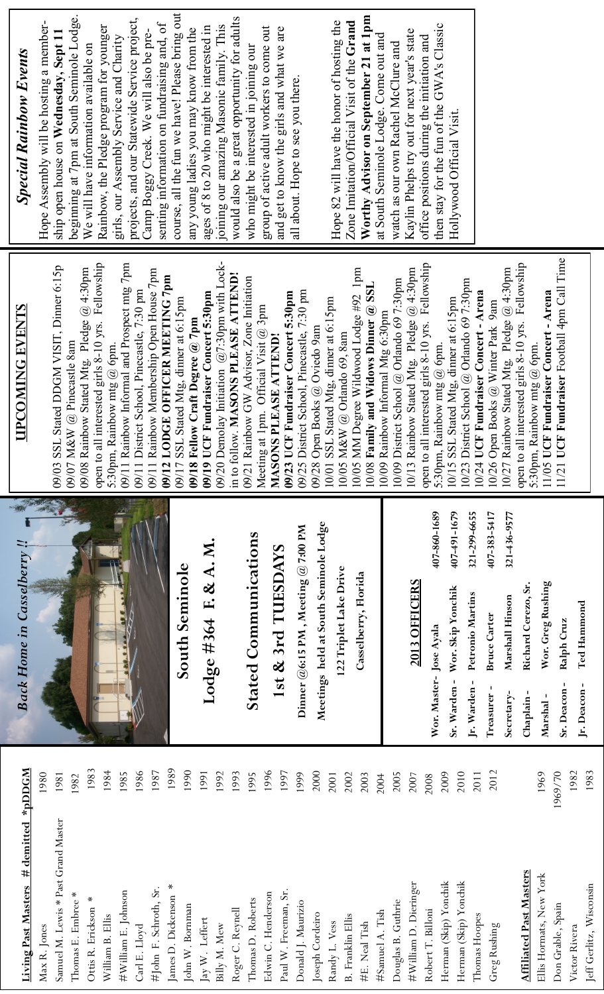| <b>Special Rainbow Events</b>    | course, all the fun we have! Please bring out<br>beginning at 7pm at South Seminole Lodge.<br>projects, and our Statewide Service project,<br>Hope Assembly will be hosting a member-<br>senting information on fundraising and, of<br>Rainbow, the Pledge program for younger<br>any young ladies you may know from the<br>Camp Boggy Creek. We will also be pre-<br>ship open house on Wednesday, Sept 11<br>girls, our Assembly Service and Charity<br>We will have information available on | Worthy Advisor on September 21 at 1pm<br>would also be a great opportunity for adults<br>Hope 82 will have the honor of hosting the<br>Zone Imitation/Official Visit of the Grand<br>joining our amazing Masonic family. This<br>ages of 8 to 20 who might be interested in<br>group of active adult workers to come out<br>and get to know the girls and what we are<br>at South Seminole Lodge. Come out and<br>who might be interested in joining our<br>all about. Hope to see you there.                                   | then stay for the fun of the GWA's Classic<br>Kaylin Phelps try out for next year's state<br>office positions during the initiation and<br>watch as our own Rachel McClure and<br>Hollywood Official Visit.                                                                                                                                                                                                                                                                                                                                                                                                              |
|----------------------------------|-------------------------------------------------------------------------------------------------------------------------------------------------------------------------------------------------------------------------------------------------------------------------------------------------------------------------------------------------------------------------------------------------------------------------------------------------------------------------------------------------|---------------------------------------------------------------------------------------------------------------------------------------------------------------------------------------------------------------------------------------------------------------------------------------------------------------------------------------------------------------------------------------------------------------------------------------------------------------------------------------------------------------------------------|--------------------------------------------------------------------------------------------------------------------------------------------------------------------------------------------------------------------------------------------------------------------------------------------------------------------------------------------------------------------------------------------------------------------------------------------------------------------------------------------------------------------------------------------------------------------------------------------------------------------------|
| <b>UPCOMING EVENTS</b>           | open to all interested girls 8-10 yrs. Fellowship<br>09/11 Rainbow Informal and Prospect mtg 7pm<br>09/03 SSL Stated DDGM VISIT, Dinner 6:15p<br>09/08 Rainbow Stated Mtg. Pledge $@$ 4:30pm<br>09/11 Rainbow Membership Open House 7pm<br>09/12 LODGE OFFICER MEETING 7pm<br>09/11 District School, Pinecastle, 7:30 pm<br>09/17 SSL Stated Mtg, dinner at 6:15pm<br>09/18 Fellow Craft Degree $@$ 7pm<br>09/07 M&W @ Pinecastle 8am<br>Rainbow mtg $@$ 6pm.<br>5:30pm,                        | 09/20 Demolay Initiation $(a/7:30$ pm with Lock-<br>10/05 MM Degree Wildwood Lodge #92 1pm<br>in to follow. MASONS PLEASE ATTEND!<br>09/21 Rainbow GW Advisor, Zone Initiation<br>10/08 Family and Widows Dinner @ SSL<br>09/25 District School, Pinecastle, 7:30 pm<br>09/23 UCF Fundraiser Concert 5:30pm<br>09/19 UCF Fundraiser Concert 5:30pm<br>10/01 SSL Stated Mtg, dinner at 6:15pm<br>Meeting at 1pm. Official Visit $@$ 3pm<br>09/28 Open Books @ Oviedo 9am<br>10/05 M&W @ Orlando 69, 8am<br>MASONS PLEASE ATTEND! | 11/21 UCF Fundraiser Football 4pm Call Time<br>open to all interested girls 8-10 yrs. Fellowship<br>open to all interested girls 8-10 yrs. Fellowship<br>10/13 Rainbow Stated Mtg. Pledge $@$ 4:30pm<br>10/27 Rainbow Stated Mtg. Pledge $@$ 4:30pm<br>10/09 District School @ Orlando 69 7:30pm<br>10/23 District School @ Orlando 69 7:30pm<br>10/24 UCF Fundraiser Concert - Arena<br>11/05 UCF Fundraiser Concert - Arena<br>10/15 SSL Stated Mtg, dinner at 6:15pm<br>10/26 Open Books @ Winter Park 9am<br>10/09 Rainbow Informal Mtg 6:30pm<br>Rainbow mtg $@$ 6pm.<br>Rainbow mtg $@$ 6pm.<br>5:30pm,<br>5:30pm, |
| <b>Back Home in Casselberry!</b> | South Seminole                                                                                                                                                                                                                                                                                                                                                                                                                                                                                  | Meetings held at South Seminole Lodge<br>Dinner @6:15 PM, Meeting @ 7:00 PM<br><b>Stated Communications</b><br>Lodge #364 F. & A. M<br>1st & 3rd TUESDAYS<br>122 Triplet Lake Drive<br>Casselberry, Florida                                                                                                                                                                                                                                                                                                                     | 407-860-1689<br>407-491-1679<br>321-299-6655<br>407-383-5417<br>321-436-9577<br>2013 OFFICERS<br>Wor. Greg Rushing<br>Richard Cerezo, Sr.<br>Wor. Skip Yonchik<br>Petronio Martins<br>Marshall Hinson<br>Ted Hammond                                                                                                                                                                                                                                                                                                                                                                                                     |
|                                  |                                                                                                                                                                                                                                                                                                                                                                                                                                                                                                 |                                                                                                                                                                                                                                                                                                                                                                                                                                                                                                                                 | <b>Bruce Carter</b><br>Ralph Cruz<br>Wor. Master- Jose Ayala<br>Sr. Warden-<br>Jr. Warden-<br>Sr. Deacon-<br>Jr. Deacon-<br>Treasurer-<br>Secretary-<br>Chaplain-<br>Marshal-                                                                                                                                                                                                                                                                                                                                                                                                                                            |